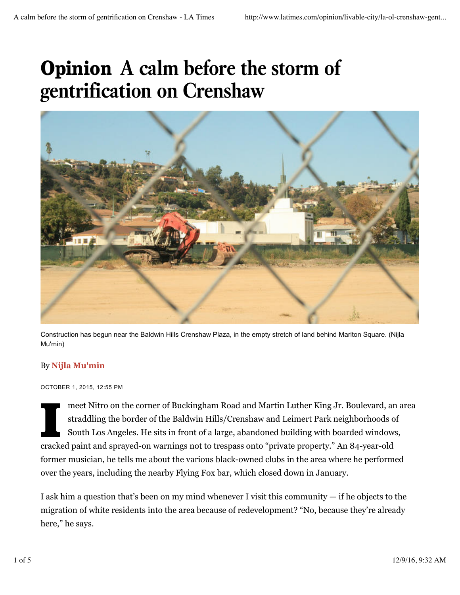# Opinion **A calm before the storm of gentrification on Crenshaw**



Construction has begun near the Baldwin Hills Crenshaw Plaza, in the empty stretch of land behind Marlton Square. (Nijla Mu'min)

## By **Nijla Mu'min**

#### OCTOBER 1, 2015, 12:55 PM

I<br>Index<br>Index meet Nitro on the corner of Buckingham Road and Martin Luther King Jr. Boulevard, an area straddling the border of the Baldwin Hills/Crenshaw and Leimert Park neighborhoods of South Los Angeles. He sits in front of a large, abandoned building with boarded windows, cracked paint and sprayed-on warnings not to trespass onto "private property." An 84-year-old former musician, he tells me about the various black-owned clubs in the area where he performed over the years, including the nearby Flying Fox bar, which closed down in January.

I ask him a question that's been on my mind whenever I visit this community — if he objects to the migration of white residents into the area because of redevelopment? "No, because they're already here," he says.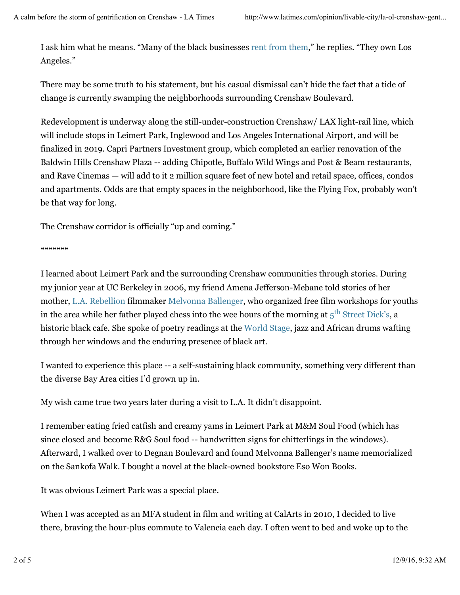I ask him what he means. "Many of the black businesses rent from them," he replies. "They own Los Angeles."

There may be some truth to his statement, but his casual dismissal can't hide the fact that a tide of change is currently swamping the neighborhoods surrounding Crenshaw Boulevard.

Redevelopment is underway along the still-under-construction Crenshaw/ LAX light-rail line, which will include stops in Leimert Park, Inglewood and Los Angeles International Airport, and will be finalized in 2019. Capri Partners Investment group, which completed an earlier renovation of the Baldwin Hills Crenshaw Plaza -- adding Chipotle, Buffalo Wild Wings and Post & Beam restaurants, and Rave Cinemas — will add to it 2 million square feet of new hotel and retail space, offices, condos and apartments. Odds are that empty spaces in the neighborhood, like the Flying Fox, probably won't be that way for long.

The Crenshaw corridor is officially "up and coming."

\*\*\*\*\*\*\*

I learned about Leimert Park and the surrounding Crenshaw communities through stories. During my junior year at UC Berkeley in 2006, my friend Amena Jefferson-Mebane told stories of her mother, L.A. Rebellion filmmaker Melvonna Ballenger, who organized free film workshops for youths in the area while her father played chess into the wee hours of the morning at  $5<sup>th</sup>$  Street Dick's, a historic black cafe. She spoke of poetry readings at the World Stage, jazz and African drums wafting through her windows and the enduring presence of black art.

I wanted to experience this place -- a self-sustaining black community, something very different than the diverse Bay Area cities I'd grown up in.

My wish came true two years later during a visit to L.A. It didn't disappoint.

I remember eating fried catfish and creamy yams in Leimert Park at M&M Soul Food (which has since closed and become R&G Soul food -- handwritten signs for chitterlings in the windows). Afterward, I walked over to Degnan Boulevard and found Melvonna Ballenger's name memorialized on the Sankofa Walk. I bought a novel at the black-owned bookstore Eso Won Books.

It was obvious Leimert Park was a special place.

When I was accepted as an MFA student in film and writing at CalArts in 2010, I decided to live there, braving the hour-plus commute to Valencia each day. I often went to bed and woke up to the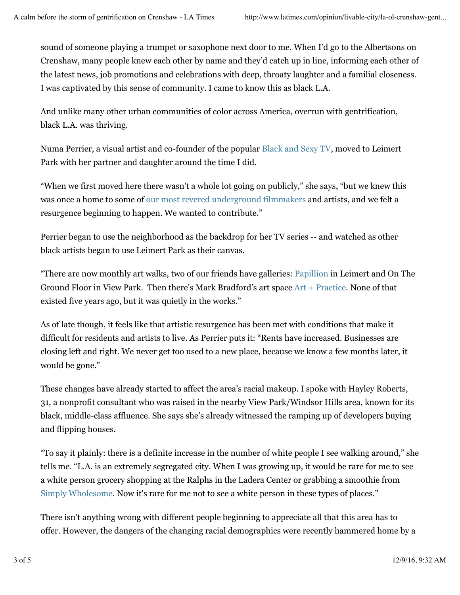sound of someone playing a trumpet or saxophone next door to me. When I'd go to the Albertsons on Crenshaw, many people knew each other by name and they'd catch up in line, informing each other of the latest news, job promotions and celebrations with deep, throaty laughter and a familial closeness. I was captivated by this sense of community. I came to know this as black L.A.

And unlike many other urban communities of color across America, overrun with gentrification, black L.A. was thriving.

Numa Perrier, a visual artist and co-founder of the popular Black and Sexy TV, moved to Leimert Park with her partner and daughter around the time I did.

"When we first moved here there wasn't a whole lot going on publicly," she says, "but we knew this was once a home to some of our most revered underground filmmakers and artists, and we felt a resurgence beginning to happen. We wanted to contribute."

Perrier began to use the neighborhood as the backdrop for her TV series -- and watched as other black artists began to use Leimert Park as their canvas.

"There are now monthly art walks, two of our friends have galleries: Papillion in Leimert and On The Ground Floor in View Park. Then there's Mark Bradford's art space Art + Practice. None of that existed five years ago, but it was quietly in the works."

As of late though, it feels like that artistic resurgence has been met with conditions that make it difficult for residents and artists to live. As Perrier puts it: "Rents have increased. Businesses are closing left and right. We never get too used to a new place, because we know a few months later, it would be gone."

These changes have already started to affect the area's racial makeup. I spoke with Hayley Roberts, 31, a nonprofit consultant who was raised in the nearby View Park/Windsor Hills area, known for its black, middle-class affluence. She says she's already witnessed the ramping up of developers buying and flipping houses.

"To say it plainly: there is a definite increase in the number of white people I see walking around," she tells me. "L.A. is an extremely segregated city. When I was growing up, it would be rare for me to see a white person grocery shopping at the Ralphs in the Ladera Center or grabbing a smoothie from Simply Wholesome. Now it's rare for me not to see a white person in these types of places."

There isn't anything wrong with different people beginning to appreciate all that this area has to offer. However, the dangers of the changing racial demographics were recently hammered home by a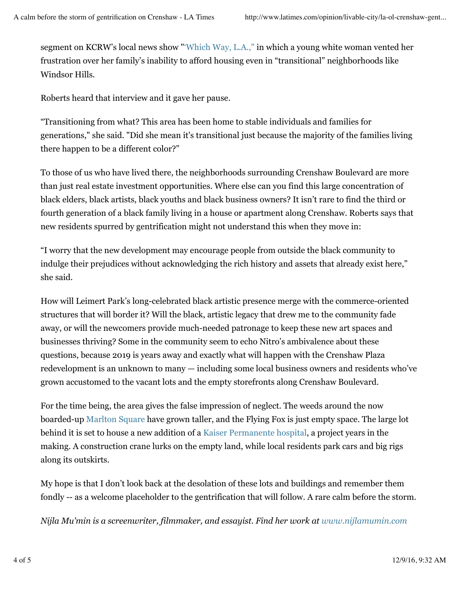segment on KCRW's local news show "'Which Way, L.A.," in which a young white woman vented her frustration over her family's inability to afford housing even in "transitional" neighborhoods like Windsor Hills.

Roberts heard that interview and it gave her pause.

"Transitioning from what? This area has been home to stable individuals and families for generations," she said. "Did she mean it's transitional just because the majority of the families living there happen to be a different color?"

To those of us who have lived there, the neighborhoods surrounding Crenshaw Boulevard are more than just real estate investment opportunities. Where else can you find this large concentration of black elders, black artists, black youths and black business owners? It isn't rare to find the third or fourth generation of a black family living in a house or apartment along Crenshaw. Roberts says that new residents spurred by gentrification might not understand this when they move in:

"I worry that the new development may encourage people from outside the black community to indulge their prejudices without acknowledging the rich history and assets that already exist here," she said.

How will Leimert Park's long-celebrated black artistic presence merge with the commerce-oriented structures that will border it? Will the black, artistic legacy that drew me to the community fade away, or will the newcomers provide much-needed patronage to keep these new art spaces and businesses thriving? Some in the community seem to echo Nitro's ambivalence about these questions, because 2019 is years away and exactly what will happen with the Crenshaw Plaza redevelopment is an unknown to many — including some local business owners and residents who've grown accustomed to the vacant lots and the empty storefronts along Crenshaw Boulevard.

For the time being, the area gives the false impression of neglect. The weeds around the now boarded-up Marlton Square have grown taller, and the Flying Fox is just empty space. The large lot behind it is set to house a new addition of a Kaiser Permanente hospital, a project years in the making. A construction crane lurks on the empty land, while local residents park cars and big rigs along its outskirts.

My hope is that I don't look back at the desolation of these lots and buildings and remember them fondly -- as a welcome placeholder to the gentrification that will follow. A rare calm before the storm.

*Nijla Mu'min is a screenwriter, filmmaker, and essayist. Find her work at www.nijlamumin.com*